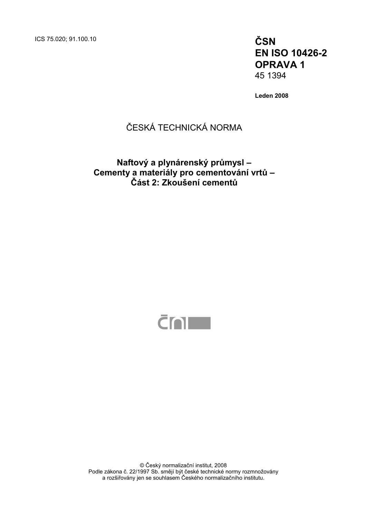ICS 75.020; 91.100.10 **ČSN** 

**EN ISO 10426-2 OPRAVA 1**  45 1394

**Leden 2008** 

### ČESKÁ TECHNICKÁ NORMA

### **Naftový a plynárenský průmysl – Cementy a materiály pro cementování vrtů – Část 2: Zkoušení cementů**



© Český normalizační institut, 2008 Podle zákona č. 22/1997 Sb. smějí být české technické normy rozmnožovány a rozšiřovány jen se souhlasem Českého normalizačního institutu.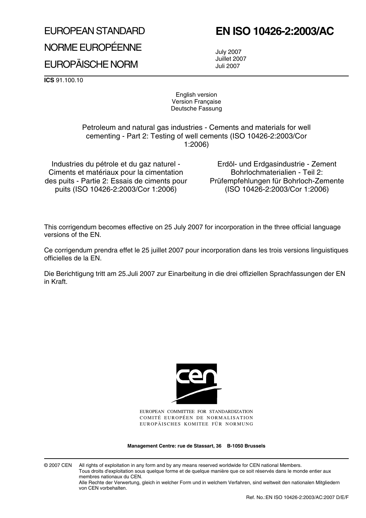# EUROPEAN STANDARD NORME EUROPÉENNE EUROPÄISCHE NORM

## **EN ISO 10426-2:2003/AC**

July 2007 Juillet 2007 Juli 2007

**ICS** 91.100.10

English version Version Française Deutsche Fassung

Petroleum and natural gas industries - Cements and materials for well cementing - Part 2: Testing of well cements (ISO 10426-2:2003/Cor 1:2006)

Industries du pétrole et du gaz naturel - Ciments et matériaux pour la cimentation des puits - Partie 2: Essais de ciments pour puits (ISO 10426-2:2003/Cor 1:2006)

Erdöl- und Erdgasindustrie - Zement Bohrlochmaterialien - Teil 2: Prüfempfehlungen für Bohrloch-Zemente (ISO 10426-2:2003/Cor 1:2006)

This corrigendum becomes effective on 25 July 2007 for incorporation in the three official language versions of the EN.

Ce corrigendum prendra effet le 25 juillet 2007 pour incorporation dans les trois versions linguistiques officielles de la EN.

Die Berichtigung tritt am 25.Juli 2007 zur Einarbeitung in die drei offiziellen Sprachfassungen der EN in Kraft.



EUROPEAN COMMITTEE FOR STANDARDIZATION COMITÉ EUROPÉEN DE NORMALISATION EUROPÄISCHES KOMITEE FÜR NORMUNG

**Management Centre: rue de Stassart, 36 B-1050 Brussels**

© 2007 CEN All rights of exploitation in any form and by any means reserved worldwide for CEN national Members. Tous droits d'exploitation sous quelque forme et de quelque manière que ce soit réservés dans le monde entier aux membres nationaux du CEN.

Alle Rechte der Verwertung, gleich in welcher Form und in welchem Verfahren, sind weltweit den nationalen Mitgliedern von CEN vorbehalten.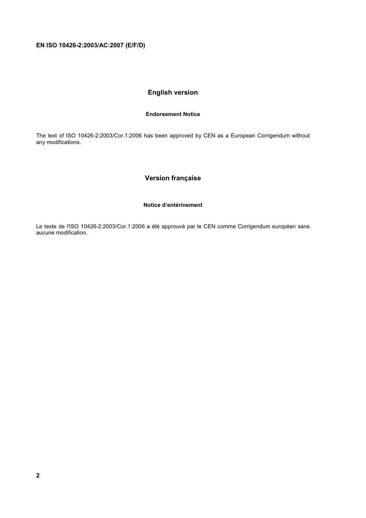### **English version**

#### **Endorsement Notice**

The text of ISO 10426-2:2003/Cor.1:2006 has been approved by CEN as a European Corrigendum without any modifications.

#### **Version française**

#### **Notice d'entérinement**

Le texte de l'ISO 10426-2:2003/Cor.1:2006 a été approuvé par le CEN comme Corrigendum européen sans aucune modification.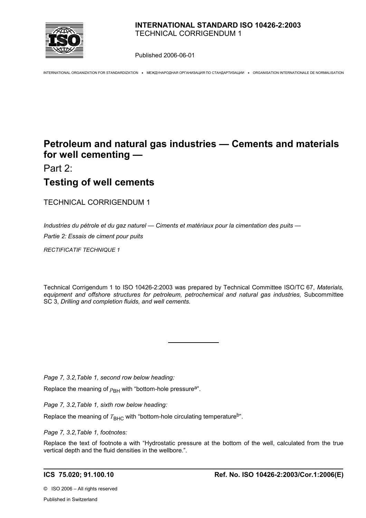

Published 2006-06-01

INTERNATIONAL ORGANIZATION FOR STANDARDIZATION • МЕЖДУНАРОДНАЯ ОРГАНИЗАЦИЯ ПО СТАНДАРТИЗАЦИИ • ORGANISATION INTERNATIONALE DE NORMALISATION

### **Petroleum and natural gas industries — Cements and materials for well cementing —**

Part 2:

### **Testing of well cements**

TECHNICAL CORRIGENDUM 1

*Industries du pétrole et du gaz naturel — Ciments et matériaux pour la cimentation des puits —*

 $\overline{a}$ 

*Partie 2: Essais de ciment pour puits*

*RECTIFICATIF TECHNIQUE 1*

Technical Corrigendum 1 to ISO 10426-2:2003 was prepared by Technical Committee ISO/TC 67, *Materials, equipment and offshore structures for petroleum, petrochemical and natural gas industries,* Subcommittee SC 3, *Drilling and completion fluids, and well cements.* 

*Page 7, 3.2,Table 1, second row below heading:*

Replace the meaning of  $p_{\text{BH}}$  with "bottom-hole pressure<sup>a"</sup>.

*Page 7, 3.2,Table 1, sixth row below heading:*

Replace the meaning of  $T<sub>BHC</sub>$  with "bottom-hole circulating temperature<sup>b</sup>".

*Page 7, 3.2,Table 1, footnotes:*

Replace the text of footnote a with "Hydrostatic pressure at the bottom of the well, calculated from the true vertical depth and the fluid densities in the wellbore.".

©ISO 2006 – All rights reserved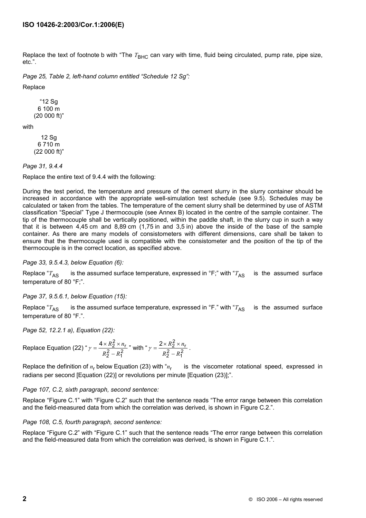Replace the text of footnote b with "The T<sub>BHC</sub> can vary with time, fluid being circulated, pump rate, pipe size, etc.".

*Page 25, Table 2, left-hand column entitled "Schedule 12 Sg":*

Replace

 "12 Sg 6 100 m (20 000 ft)"

with

 12 Sg 6 710 m (22 000 ft)"

*Page 31, 9.4.4*

Replace the entire text of 9.4.4 with the following:

During the test period, the temperature and pressure of the cement slurry in the slurry container should be increased in accordance with the appropriate well-simulation test schedule (see 9.5). Schedules may be calculated or taken from the tables. The temperature of the cement slurry shall be determined by use of ASTM classification "Special" Type J thermocouple (see Annex B) located in the centre of the sample container. The tip of the thermocouple shall be vertically positioned, within the paddle shaft, in the slurry cup in such a way that it is between 4,45 cm and 8,89 cm (1,75 in and 3,5 in) above the inside of the base of the sample container. As there are many models of consistometers with different dimensions, care shall be taken to ensure that the thermocouple used is compatible with the consistometer and the position of the tip of the thermocouple is in the correct location, as specified above.

*Page 33, 9.5.4.3, below Equation (6):*

Replace " $T_{AS}$  is the assumed surface temperature, expressed in  ${}^{\circ}F$ ;" with " $T_{AS}$  is the assumed surface temperature of 80 °F;".

*Page 37, 9.5.6.1, below Equation (15):*

Replace " $T_{AS}$  is the assumed surface temperature, expressed in  ${}^{\circ}$ F." with " $T_{AS}$  is the assumed surface temperature of 80 °F.".

*Page 52, 12.2.1 a), Equation (22):*

Replace Equation (22) " 
$$
\gamma = \frac{4 \times R_2^2 \times n_r}{R_2^2 - R_1^2}
$$
" with "  $\gamma = \frac{2 \times R_2^2 \times n_r}{R_2^2 - R_1^2}$ .

Replace the definition of *n*<sup>r</sup> below Equation (23) with "*n*<sup>r</sup> is the viscometer rotational speed, expressed in radians per second [Equation (22)] or revolutions per minute [Equation (23)];".

#### *Page 107, C.2, sixth paragraph, second sentence:*

Replace "Figure C.1" with "Figure C.2" such that the sentence reads "The error range between this correlation and the field-measured data from which the correlation was derived, is shown in Figure C.2.".

#### *Page 108, C.5, fourth paragraph, second sentence:*

Replace "Figure C.2" with "Figure C.1" such that the sentence reads "The error range between this correlation and the field-measured data from which the correlation was derived, is shown in Figure C.1.".